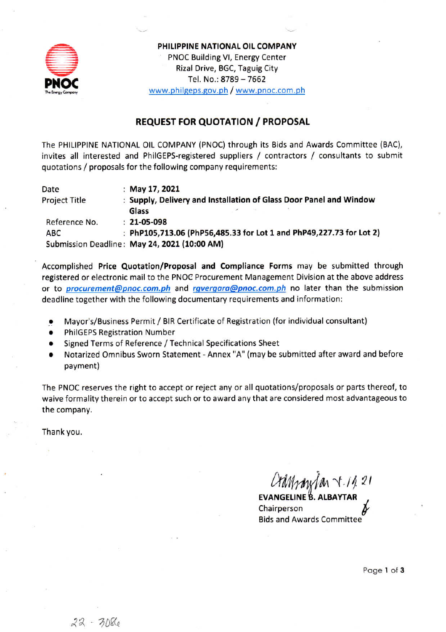

PHILIPPINE NATIONAL OIL COMPANY PNOC Building VI, Energy Center Rizal Drive, BGC, Taguig City Tel. No.: 8789 - 7662 www.philgeps.gov.ph / www.pnoc.com.ph

### **REQUEST FOR QUOTATION / PROPOSAL**

The PHILIPPINE NATIONAL OIL COMPANY (PNOC) through its Bids and Awards Committee (BAC), invites all interested and PhilGEPS-registered suppliers / contractors / consultants to submit quotations / proposals for the following company requirements:

| Date                 | : May 17, 2021                                                                                                             |
|----------------------|----------------------------------------------------------------------------------------------------------------------------|
| <b>Project Title</b> | : Supply, Delivery and Installation of Glass Door Panel and Window                                                         |
|                      | Glass<br>$\frac{1}{2} \int_{0}^{2\pi} \frac{dx}{(x-x)^{2}} \, dx = \frac{1}{2} \int_{0}^{2\pi} \frac{dx}{(x-x)^{2}} \, dx$ |
| Reference No.        | $: 21 - 05 - 098$                                                                                                          |
| ABC                  | : PhP105,713.06 (PhP56,485.33 for Lot 1 and PhP49,227.73 for Lot 2)                                                        |
|                      | Submission Deadline: May 24, 2021 (10:00 AM)                                                                               |

Accomplished Price Quotation/Proposal and Compliance Forms may be submitted through registered or electronic mail to the PNOC Procurement Management Division at the above address or to *procurement@pnoc.com.ph* and *rgvergara@pnoc.com.ph* no later than the submission deadline together with the following documentary requirements and information:

- Mayor's/Business Permit / BIR Certificate of Registration (for individual consultant)
- **PhilGEPS Registration Number**
- Signed Terms of Reference / Technical Specifications Sheet
- Notarized Omnibus Sworn Statement Annex "A" (may be submitted after award and before payment)

The PNOC reserves the right to accept or reject any or all quotations/proposals or parts thereof, to waive formality therein or to accept such or to award any that are considered most advantageous to the company.

Thank you.

Crammylan V.1421

**EVANGELINE B. ALBAYTAR** Chairperson **Bids and Awards Committee** 

Page 1 of 3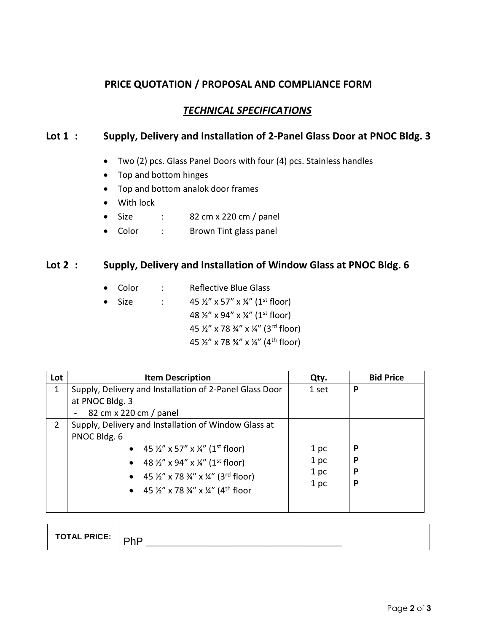## **PRICE QUOTATION / PROPOSAL AND COMPLIANCE FORM**

# *TECHNICAL SPECIFICATIONS*

### **Lot 1 : Supply, Delivery and Installation of 2-Panel Glass Door at PNOC Bldg. 3**

- Two (2) pcs. Glass Panel Doors with four (4) pcs. Stainless handles
- Top and bottom hinges
- Top and bottom analok door frames
- With lock
- Size : 82 cm x 220 cm / panel
- Color : Brown Tint glass panel

### **Lot 2 : Supply, Delivery and Installation of Window Glass at PNOC Bldg. 6**

- Color : Reflective Blue Glass
- Size :  $45\frac{1}{2}$ " x 57" x  $\frac{1}{4}$ " (1st floor) 48 ½" x 94" x ¼" (1st floor) 45 ½" x 78 ¾" x ¼" (3rd floor) 45 ½" x 78 ¾" x ¼" (4th floor)

| Lot | <b>Item Description</b>                                                             | Qty.  | <b>Bid Price</b> |
|-----|-------------------------------------------------------------------------------------|-------|------------------|
| 1   | Supply, Delivery and Installation of 2-Panel Glass Door                             | 1 set | P                |
|     | at PNOC Bldg. 3                                                                     |       |                  |
|     | 82 cm x 220 cm / panel                                                              |       |                  |
| 2   | Supply, Delivery and Installation of Window Glass at                                |       |                  |
|     | PNOC Bldg. 6                                                                        |       |                  |
|     | • 45 $\frac{1}{2}$ " x 57" x $\frac{1}{4}$ " (1 <sup>st</sup> floor)                | 1 pc  | P                |
|     | • 48 $\frac{1}{2}$ " x 94" x $\frac{1}{4}$ " (1 <sup>st</sup> floor)                | 1 pc  | P                |
|     | • 45 $\frac{1}{2}$ " x 78 $\frac{3}{4}$ " x $\frac{1}{4}$ " (3 <sup>rd</sup> floor) | 1 pc  | P                |
|     | • 45 $\frac{1}{2}$ " x 78 $\frac{3}{4}$ " x $\frac{1}{4}$ " (4 <sup>th</sup> floor  | 1 pc  | P                |
|     |                                                                                     |       |                  |
|     |                                                                                     |       |                  |

| <b>TOTAL PRICE:</b><br>$\sim$<br>. |
|------------------------------------|
|------------------------------------|